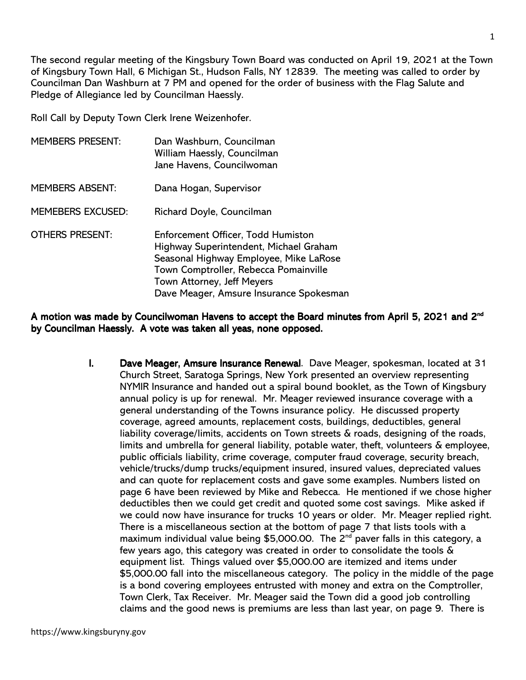The second regular meeting of the Kingsbury Town Board was conducted on April 19, 2021 at the Town of Kingsbury Town Hall, 6 Michigan St., Hudson Falls, NY 12839. The meeting was called to order by Councilman Dan Washburn at 7 PM and opened for the order of business with the Flag Salute and Pledge of Allegiance led by Councilman Haessly.

Roll Call by Deputy Town Clerk Irene Weizenhofer.

| <b>MEMBERS PRESENT:</b>  | Dan Washburn, Councilman<br>William Haessly, Councilman<br>Jane Havens, Councilwoman                                                                                                                                                     |
|--------------------------|------------------------------------------------------------------------------------------------------------------------------------------------------------------------------------------------------------------------------------------|
| <b>MEMBERS ABSENT:</b>   | Dana Hogan, Supervisor                                                                                                                                                                                                                   |
| <b>MEMEBERS EXCUSED:</b> | Richard Doyle, Councilman                                                                                                                                                                                                                |
| <b>OTHERS PRESENT:</b>   | Enforcement Officer, Todd Humiston<br>Highway Superintendent, Michael Graham<br>Seasonal Highway Employee, Mike LaRose<br>Town Comptroller, Rebecca Pomainville<br>Town Attorney, Jeff Meyers<br>Dave Meager, Amsure Insurance Spokesman |

A motion was made by Councilwoman Havens to accept the Board minutes from April 5, 2021 and 2<sup>nd</sup> by Councilman Haessly. A vote was taken all yeas, none opposed.

> I. Dave Meager, Amsure Insurance Renewal. Dave Meager, spokesman, located at 31 Church Street, Saratoga Springs, New York presented an overview representing NYMIR Insurance and handed out a spiral bound booklet, as the Town of Kingsbury annual policy is up for renewal. Mr. Meager reviewed insurance coverage with a general understanding of the Towns insurance policy. He discussed property coverage, agreed amounts, replacement costs, buildings, deductibles, general liability coverage/limits, accidents on Town streets & roads, designing of the roads, limits and umbrella for general liability, potable water, theft, volunteers & employee, public officials liability, crime coverage, computer fraud coverage, security breach, vehicle/trucks/dump trucks/equipment insured, insured values, depreciated values and can quote for replacement costs and gave some examples. Numbers listed on page 6 have been reviewed by Mike and Rebecca. He mentioned if we chose higher deductibles then we could get credit and quoted some cost savings. Mike asked if we could now have insurance for trucks 10 years or older. Mr. Meager replied right. There is a miscellaneous section at the bottom of page 7 that lists tools with a maximum individual value being \$5,000.00. The  $2^{nd}$  paver falls in this category, a few years ago, this category was created in order to consolidate the tools & equipment list. Things valued over \$5,000.00 are itemized and items under \$5,000.00 fall into the miscellaneous category. The policy in the middle of the page is a bond covering employees entrusted with money and extra on the Comptroller, Town Clerk, Tax Receiver. Mr. Meager said the Town did a good job controlling claims and the good news is premiums are less than last year, on page 9. There is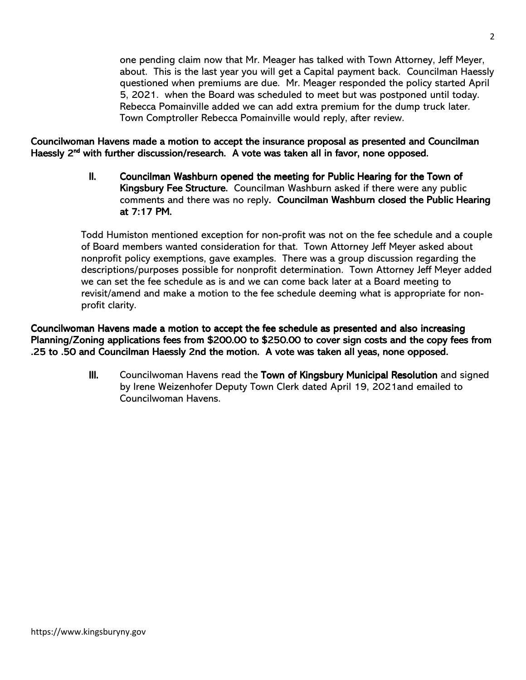one pending claim now that Mr. Meager has talked with Town Attorney, Jeff Meyer, about. This is the last year you will get a Capital payment back. Councilman Haessly questioned when premiums are due. Mr. Meager responded the policy started April 5, 2021. when the Board was scheduled to meet but was postponed until today. Rebecca Pomainville added we can add extra premium for the dump truck later. Town Comptroller Rebecca Pomainville would reply, after review.

Councilwoman Havens made a motion to accept the insurance proposal as presented and Councilman Haessly 2<sup>nd</sup> with further discussion/research. A vote was taken all in favor, none opposed.

> II. Councilman Washburn opened the meeting for Public Hearing for the Town of Kingsbury Fee Structure. Councilman Washburn asked if there were any public comments and there was no reply. Councilman Washburn closed the Public Hearing at 7:17 PM.

Todd Humiston mentioned exception for non-profit was not on the fee schedule and a couple of Board members wanted consideration for that. Town Attorney Jeff Meyer asked about nonprofit policy exemptions, gave examples. There was a group discussion regarding the descriptions/purposes possible for nonprofit determination. Town Attorney Jeff Meyer added we can set the fee schedule as is and we can come back later at a Board meeting to revisit/amend and make a motion to the fee schedule deeming what is appropriate for nonprofit clarity.

Councilwoman Havens made a motion to accept the fee schedule as presented and also increasing Planning/Zoning applications fees from \$200.00 to \$250.00 to cover sign costs and the copy fees from .25 to .50 and Councilman Haessly 2nd the motion. A vote was taken all yeas, none opposed.

> III. Councilwoman Havens read the Town of Kingsbury Municipal Resolution and signed by Irene Weizenhofer Deputy Town Clerk dated April 19, 2021and emailed to Councilwoman Havens.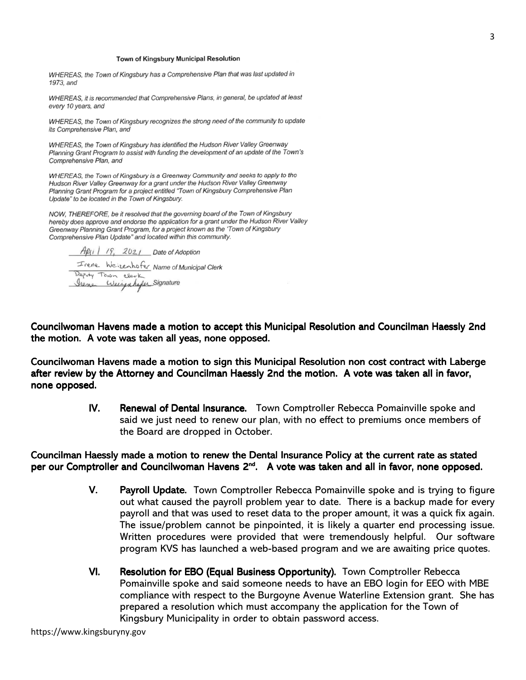#### Town of Kingsbury Municipal Resolution

WHEREAS, the Town of Kingsbury has a Comprehensive Plan that was last updated in 1973, and

WHEREAS, it is recommended that Comprehensive Plans, in general, be updated at least every 10 years, and

WHEREAS, the Town of Kingsbury recognizes the strong need of the community to update its Comprehensive Plan, and

WHEREAS, the Town of Kingsbury has identified the Hudson River Valley Greenway Planning Grant Program to assist with funding the development of an update of the Town's Comprehensive Plan, and

WHEREAS, the Town of Kingsbury is a Greenway Community and seeks to apply to the Hudson River Valley Greenway for a grant under the Hudson River Valley Greenway Planning Grant Program for a project entitled "Town of Kingsbury Comprehensive Plan Update" to be located in the Town of Kingsbury.

NOW, THEREFORE, be it resolved that the governing board of the Town of Kingsbury hereby does approve and endorse the application for a grant under the Hudson River Valley Greenway Planning Grant Program, for a project known as the 'Town of Kingsbury Comprehensive Plan Update" and located within this community.

 $A\beta$ (1)  $1/9$ ,  $202/$  Date of Adoption Irene Weizenhofer Name of Municipal Clerk Deputy Town elerk Irene Weighbauer Signature

Councilwoman Havens made a motion to accept this Municipal Resolution and Councilman Haessly 2nd the motion. A vote was taken all yeas, none opposed.

Councilwoman Havens made a motion to sign this Municipal Resolution non cost contract with Laberge after review by the Attorney and Councilman Haessly 2nd the motion. A vote was taken all in favor, none opposed.

> IV. Renewal of Dental Insurance. Town Comptroller Rebecca Pomainville spoke and said we just need to renew our plan, with no effect to premiums once members of the Board are dropped in October.

### Councilman Haessly made a motion to renew the Dental Insurance Policy at the current rate as stated per our Comptroller and Councilwoman Havens 2<sup>nd</sup>. A vote was taken and all in favor, none opposed.

- V. Payroll Update. Town Comptroller Rebecca Pomainville spoke and is trying to figure out what caused the payroll problem year to date. There is a backup made for every payroll and that was used to reset data to the proper amount, it was a quick fix again. The issue/problem cannot be pinpointed, it is likely a quarter end processing issue. Written procedures were provided that were tremendously helpful. Our software program KVS has launched a web-based program and we are awaiting price quotes.
- VI. Resolution for EBO (Equal Business Opportunity). Town Comptroller Rebecca Pomainville spoke and said someone needs to have an EBO login for EEO with MBE compliance with respect to the Burgoyne Avenue Waterline Extension grant. She has prepared a resolution which must accompany the application for the Town of Kingsbury Municipality in order to obtain password access.

https://www.kingsburyny.gov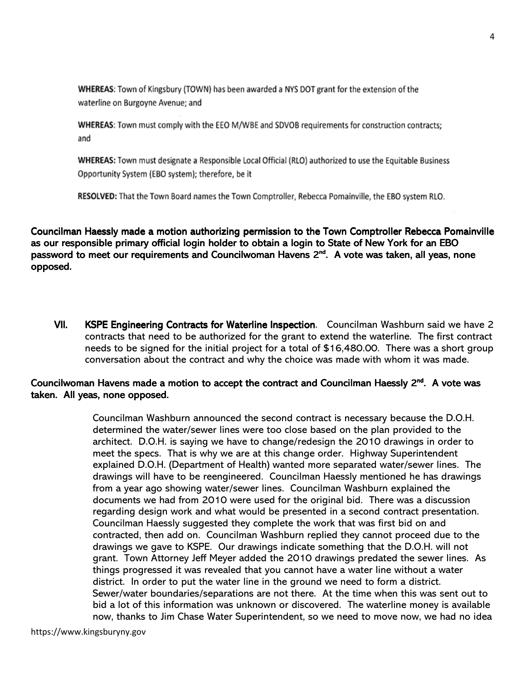WHEREAS: Town of Kingsbury (TOWN) has been awarded a NYS DOT grant for the extension of the waterline on Burgoyne Avenue; and

WHEREAS: Town must comply with the EEO M/WBE and SDVOB requirements for construction contracts; and

WHEREAS: Town must designate a Responsible Local Official (RLO) authorized to use the Equitable Business Opportunity System (EBO system); therefore, be it

RESOLVED: That the Town Board names the Town Comptroller, Rebecca Pomainville, the EBO system RLO.

Councilman Haessly made a motion authorizing permission to the Town Comptroller Rebecca Pomainville as our responsible primary official login holder to obtain a login to State of New York for an EBO password to meet our requirements and Councilwoman Havens 2<sup>nd</sup>. A vote was taken, all yeas, none opposed.

VII. KSPE Engineering Contracts for Waterline Inspection. Councilman Washburn said we have 2 contracts that need to be authorized for the grant to extend the waterline. The first contract needs to be signed for the initial project for a total of \$16,480.00. There was a short group conversation about the contract and why the choice was made with whom it was made.

# Councilwoman Havens made a motion to accept the contract and Councilman Haessly  $2^{nd}$ . A vote was taken. All yeas, none opposed.

Councilman Washburn announced the second contract is necessary because the D.O.H. determined the water/sewer lines were too close based on the plan provided to the architect. D.O.H. is saying we have to change/redesign the 2010 drawings in order to meet the specs. That is why we are at this change order. Highway Superintendent explained D.O.H. (Department of Health) wanted more separated water/sewer lines. The drawings will have to be reengineered. Councilman Haessly mentioned he has drawings from a year ago showing water/sewer lines. Councilman Washburn explained the documents we had from 2010 were used for the original bid. There was a discussion regarding design work and what would be presented in a second contract presentation. Councilman Haessly suggested they complete the work that was first bid on and contracted, then add on. Councilman Washburn replied they cannot proceed due to the drawings we gave to KSPE. Our drawings indicate something that the D.O.H. will not grant. Town Attorney Jeff Meyer added the 2010 drawings predated the sewer lines. As things progressed it was revealed that you cannot have a water line without a water district. In order to put the water line in the ground we need to form a district. Sewer/water boundaries/separations are not there. At the time when this was sent out to bid a lot of this information was unknown or discovered. The waterline money is available now, thanks to Jim Chase Water Superintendent, so we need to move now, we had no idea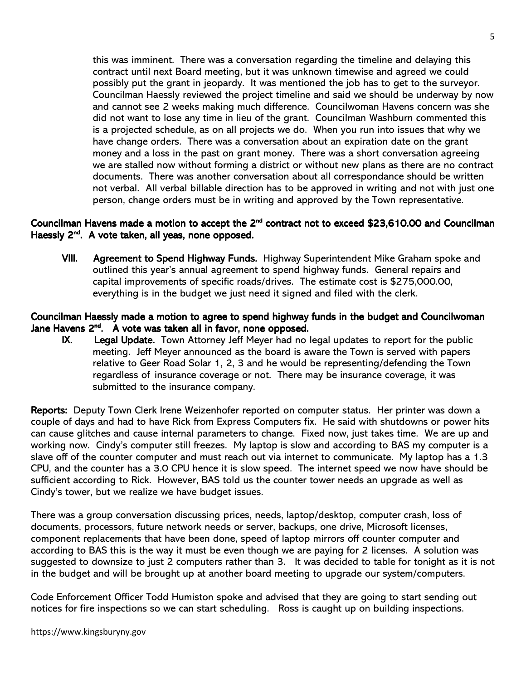this was imminent. There was a conversation regarding the timeline and delaying this contract until next Board meeting, but it was unknown timewise and agreed we could possibly put the grant in jeopardy. It was mentioned the job has to get to the surveyor. Councilman Haessly reviewed the project timeline and said we should be underway by now and cannot see 2 weeks making much difference. Councilwoman Havens concern was she did not want to lose any time in lieu of the grant. Councilman Washburn commented this is a projected schedule, as on all projects we do. When you run into issues that why we have change orders. There was a conversation about an expiration date on the grant money and a loss in the past on grant money. There was a short conversation agreeing we are stalled now without forming a district or without new plans as there are no contract documents. There was another conversation about all correspondance should be written not verbal. All verbal billable direction has to be approved in writing and not with just one person, change orders must be in writing and approved by the Town representative.

## Councilman Havens made a motion to accept the 2<sup>nd</sup> contract not to exceed \$23,610.00 and Councilman Haessly 2<sup>nd</sup>. A vote taken, all yeas, none opposed.

VIII. Agreement to Spend Highway Funds. Highway Superintendent Mike Graham spoke and outlined this year's annual agreement to spend highway funds. General repairs and capital improvements of specific roads/drives. The estimate cost is \$275,000.00, everything is in the budget we just need it signed and filed with the clerk.

### Councilman Haessly made a motion to agree to spend highway funds in the budget and Councilwoman Jane Havens  $2^{nd}$ . A vote was taken all in favor, none opposed.

IX. Legal Update. Town Attorney Jeff Meyer had no legal updates to report for the public meeting. Jeff Meyer announced as the board is aware the Town is served with papers relative to Geer Road Solar 1, 2, 3 and he would be representing/defending the Town regardless of insurance coverage or not. There may be insurance coverage, it was submitted to the insurance company.

Reports: Deputy Town Clerk Irene Weizenhofer reported on computer status. Her printer was down a couple of days and had to have Rick from Express Computers fix. He said with shutdowns or power hits can cause glitches and cause internal parameters to change. Fixed now, just takes time. We are up and working now. Cindy's computer still freezes. My laptop is slow and according to BAS my computer is a slave off of the counter computer and must reach out via internet to communicate. My laptop has a 1.3 CPU, and the counter has a 3.0 CPU hence it is slow speed. The internet speed we now have should be sufficient according to Rick. However, BAS told us the counter tower needs an upgrade as well as Cindy's tower, but we realize we have budget issues.

There was a group conversation discussing prices, needs, laptop/desktop, computer crash, loss of documents, processors, future network needs or server, backups, one drive, Microsoft licenses, component replacements that have been done, speed of laptop mirrors off counter computer and according to BAS this is the way it must be even though we are paying for 2 licenses. A solution was suggested to downsize to just 2 computers rather than 3. It was decided to table for tonight as it is not in the budget and will be brought up at another board meeting to upgrade our system/computers.

Code Enforcement Officer Todd Humiston spoke and advised that they are going to start sending out notices for fire inspections so we can start scheduling. Ross is caught up on building inspections.